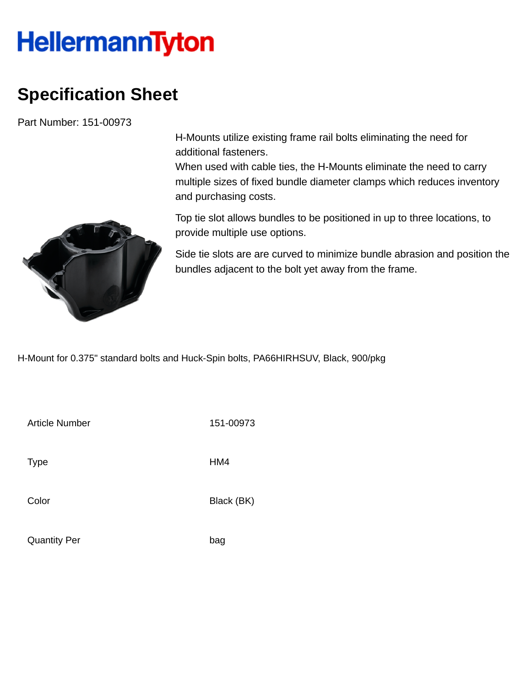## **HellermannTyton**

## **Specification Sheet**

Part Number: 151-00973

H-Mounts utilize existing frame rail bolts eliminating the need for additional fasteners.

When used with cable ties, the H-Mounts eliminate the need to carry multiple sizes of fixed bundle diameter clamps which reduces inventory and purchasing costs.



Top tie slot allows bundles to be positioned in up to three locations, to provide multiple use options.

Side tie slots are are curved to minimize bundle abrasion and position the bundles adjacent to the bolt yet away from the frame.

H-Mount for 0.375" standard bolts and Huck-Spin bolts, PA66HIRHSUV, Black, 900/pkg

Article Number 151-00973 Type HM4 Color Black (BK)

Quantity Per bag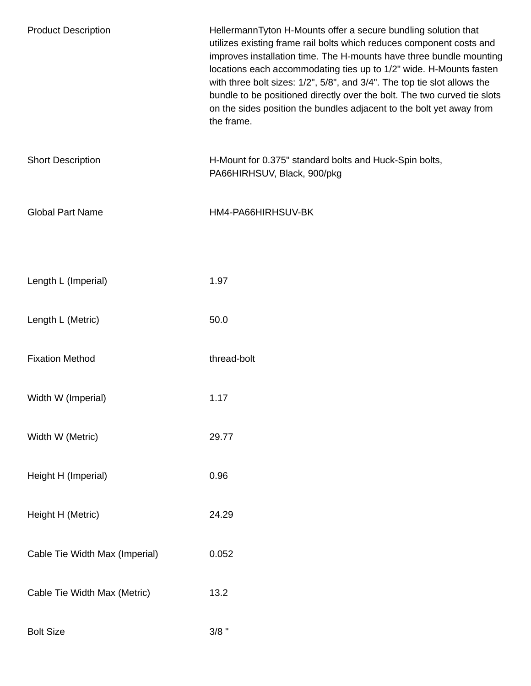| <b>Product Description</b>     | HellermannTyton H-Mounts offer a secure bundling solution that<br>utilizes existing frame rail bolts which reduces component costs and<br>improves installation time. The H-mounts have three bundle mounting<br>locations each accommodating ties up to 1/2" wide. H-Mounts fasten<br>with three bolt sizes: 1/2", 5/8", and 3/4". The top tie slot allows the<br>bundle to be positioned directly over the bolt. The two curved tie slots<br>on the sides position the bundles adjacent to the bolt yet away from<br>the frame. |
|--------------------------------|-----------------------------------------------------------------------------------------------------------------------------------------------------------------------------------------------------------------------------------------------------------------------------------------------------------------------------------------------------------------------------------------------------------------------------------------------------------------------------------------------------------------------------------|
| <b>Short Description</b>       | H-Mount for 0.375" standard bolts and Huck-Spin bolts,<br>PA66HIRHSUV, Black, 900/pkg                                                                                                                                                                                                                                                                                                                                                                                                                                             |
| <b>Global Part Name</b>        | HM4-PA66HIRHSUV-BK                                                                                                                                                                                                                                                                                                                                                                                                                                                                                                                |
|                                |                                                                                                                                                                                                                                                                                                                                                                                                                                                                                                                                   |
| Length L (Imperial)            | 1.97                                                                                                                                                                                                                                                                                                                                                                                                                                                                                                                              |
| Length L (Metric)              | 50.0                                                                                                                                                                                                                                                                                                                                                                                                                                                                                                                              |
| <b>Fixation Method</b>         | thread-bolt                                                                                                                                                                                                                                                                                                                                                                                                                                                                                                                       |
| Width W (Imperial)             | 1.17                                                                                                                                                                                                                                                                                                                                                                                                                                                                                                                              |
| Width W (Metric)               | 29.77                                                                                                                                                                                                                                                                                                                                                                                                                                                                                                                             |
| Height H (Imperial)            | 0.96                                                                                                                                                                                                                                                                                                                                                                                                                                                                                                                              |
| Height H (Metric)              | 24.29                                                                                                                                                                                                                                                                                                                                                                                                                                                                                                                             |
| Cable Tie Width Max (Imperial) | 0.052                                                                                                                                                                                                                                                                                                                                                                                                                                                                                                                             |
| Cable Tie Width Max (Metric)   | 13.2                                                                                                                                                                                                                                                                                                                                                                                                                                                                                                                              |
| <b>Bolt Size</b>               | $3/8$ "                                                                                                                                                                                                                                                                                                                                                                                                                                                                                                                           |